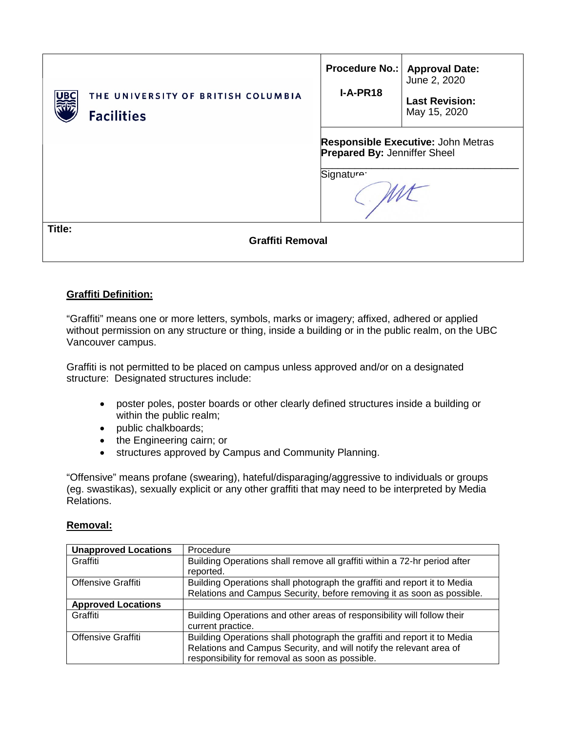| THE UNIVERSITY OF BRITISH COLUMBIA<br>UBC<br><b>Facilities</b> | <b>Procedure No.:</b><br>$I-A-PR18$                                                                        | <b>Approval Date:</b><br>June 2, 2020<br><b>Last Revision:</b><br>May 15, 2020 |  |  |  |
|----------------------------------------------------------------|------------------------------------------------------------------------------------------------------------|--------------------------------------------------------------------------------|--|--|--|
|                                                                | <b>Responsible Executive: John Metras</b><br><b>Prepared By: Jenniffer Sheel</b><br>Signature <sup>.</sup> |                                                                                |  |  |  |
| Title:<br><b>Graffiti Removal</b>                              |                                                                                                            |                                                                                |  |  |  |

## **Graffiti Definition:**

"Graffiti" means one or more letters, symbols, marks or imagery; affixed, adhered or applied without permission on any structure or thing, inside a building or in the public realm, on the UBC Vancouver campus.

Graffiti is not permitted to be placed on campus unless approved and/or on a designated structure: Designated structures include:

- poster poles, poster boards or other clearly defined structures inside a building or within the public realm;
- public chalkboards;
- the Engineering cairn; or
- structures approved by Campus and Community Planning.

"Offensive" means profane (swearing), hateful/disparaging/aggressive to individuals or groups (eg. swastikas), sexually explicit or any other graffiti that may need to be interpreted by Media Relations.

### **Removal:**

| <b>Unapproved Locations</b> | Procedure                                                                 |
|-----------------------------|---------------------------------------------------------------------------|
| Graffiti                    | Building Operations shall remove all graffiti within a 72-hr period after |
|                             | reported.                                                                 |
| Offensive Graffiti          | Building Operations shall photograph the graffiti and report it to Media  |
|                             | Relations and Campus Security, before removing it as soon as possible.    |
| <b>Approved Locations</b>   |                                                                           |
| Graffiti                    | Building Operations and other areas of responsibility will follow their   |
|                             | current practice.                                                         |
| Offensive Graffiti          | Building Operations shall photograph the graffiti and report it to Media  |
|                             | Relations and Campus Security, and will notify the relevant area of       |
|                             | responsibility for removal as soon as possible.                           |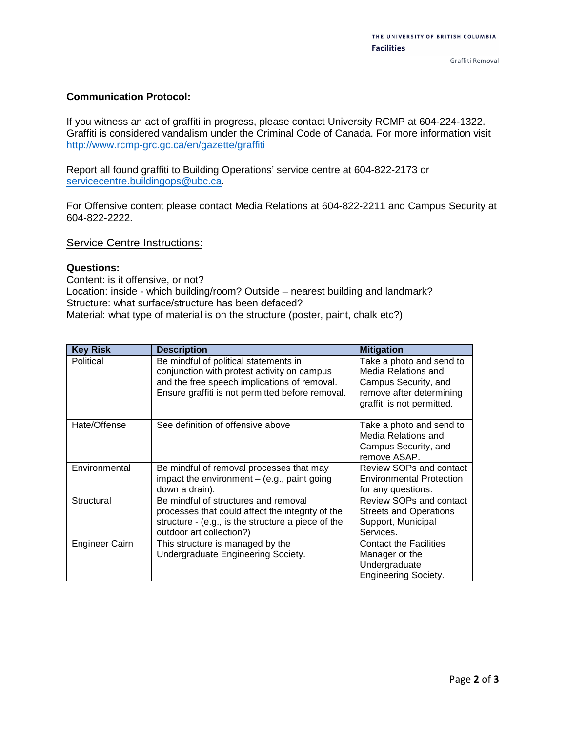### **Communication Protocol:**

If you witness an act of graffiti in progress, please contact University RCMP at 604-224-1322. Graffiti is considered vandalism under the Criminal Code of Canada. For more information visit <http://www.rcmp-grc.gc.ca/en/gazette/graffiti>

Report all found graffiti to Building Operations' service centre at 604-822-2173 or [servicecentre.buildingops@ubc.ca.](mailto:servicecentre.buildingops@ubc.ca)

For Offensive content please contact Media Relations at 604-822-2211 and Campus Security at 604-822-2222.

**Service Centre Instructions:** 

#### **Questions:**

Content: is it offensive, or not? Location: inside - which building/room? Outside – nearest building and landmark? Structure: what surface/structure has been defaced? Material: what type of material is on the structure (poster, paint, chalk etc?)

| <b>Key Risk</b> | <b>Description</b>                                                                                                                                                                       | <b>Mitigation</b>                                                                                                                 |
|-----------------|------------------------------------------------------------------------------------------------------------------------------------------------------------------------------------------|-----------------------------------------------------------------------------------------------------------------------------------|
| Political       | Be mindful of political statements in<br>conjunction with protest activity on campus<br>and the free speech implications of removal.<br>Ensure graffiti is not permitted before removal. | Take a photo and send to<br>Media Relations and<br>Campus Security, and<br>remove after determining<br>graffiti is not permitted. |
| Hate/Offense    | See definition of offensive above                                                                                                                                                        | Take a photo and send to<br>Media Relations and<br>Campus Security, and<br>remove ASAP.                                           |
| Environmental   | Be mindful of removal processes that may<br>impact the environment $-$ (e.g., paint going<br>down a drain).                                                                              | Review SOPs and contact<br><b>Environmental Protection</b><br>for any questions.                                                  |
| Structural      | Be mindful of structures and removal<br>processes that could affect the integrity of the<br>structure - (e.g., is the structure a piece of the<br>outdoor art collection?)               | Review SOPs and contact<br><b>Streets and Operations</b><br>Support, Municipal<br>Services.                                       |
| Engineer Cairn  | This structure is managed by the<br>Undergraduate Engineering Society.                                                                                                                   | <b>Contact the Facilities</b><br>Manager or the<br>Undergraduate<br><b>Engineering Society.</b>                                   |